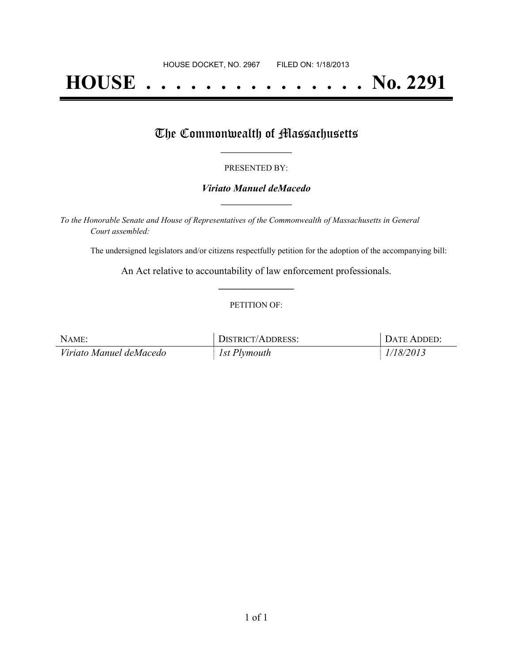# **HOUSE . . . . . . . . . . . . . . . No. 2291**

## The Commonwealth of Massachusetts

#### PRESENTED BY:

#### *Viriato Manuel deMacedo* **\_\_\_\_\_\_\_\_\_\_\_\_\_\_\_\_\_**

*To the Honorable Senate and House of Representatives of the Commonwealth of Massachusetts in General Court assembled:*

The undersigned legislators and/or citizens respectfully petition for the adoption of the accompanying bill:

An Act relative to accountability of law enforcement professionals. **\_\_\_\_\_\_\_\_\_\_\_\_\_\_\_**

#### PETITION OF:

| NAME:                   | DISTRICT/ADDRESS: | DATE ADDED: |
|-------------------------|-------------------|-------------|
| Viriato Manuel deMacedo | 1st Plymouth      | 1/18/2013   |